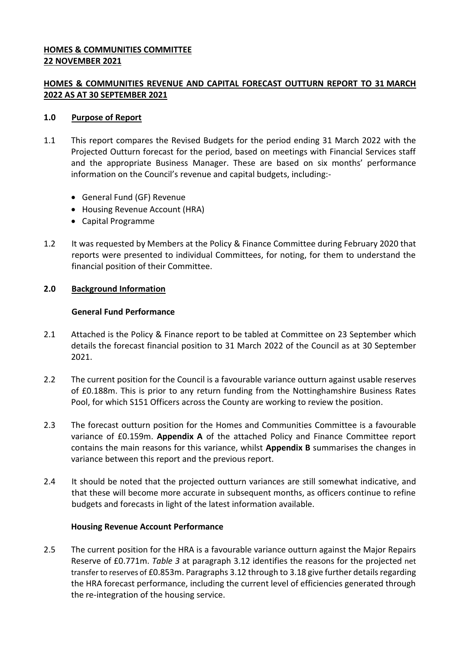## **HOMES & COMMUNITIES COMMITTEE 22 NOVEMBER 2021**

# **HOMES & COMMUNITIES REVENUE AND CAPITAL FORECAST OUTTURN REPORT TO 31 MARCH 2022 AS AT 30 SEPTEMBER 2021**

### **1.0 Purpose of Report**

- 1.1 This report compares the Revised Budgets for the period ending 31 March 2022 with the Projected Outturn forecast for the period, based on meetings with Financial Services staff and the appropriate Business Manager. These are based on six months' performance information on the Council's revenue and capital budgets, including:-
	- General Fund (GF) Revenue
	- Housing Revenue Account (HRA)
	- Capital Programme
- 1.2 It was requested by Members at the Policy & Finance Committee during February 2020 that reports were presented to individual Committees, for noting, for them to understand the financial position of their Committee.

### **2.0 Background Information**

### **General Fund Performance**

- 2.1 Attached is the Policy & Finance report to be tabled at Committee on 23 September which details the forecast financial position to 31 March 2022 of the Council as at 30 September 2021.
- 2.2 The current position for the Council is a favourable variance outturn against usable reserves of £0.188m. This is prior to any return funding from the Nottinghamshire Business Rates Pool, for which S151 Officers across the County are working to review the position.
- 2.3 The forecast outturn position for the Homes and Communities Committee is a favourable variance of £0.159m. **Appendix A** of the attached Policy and Finance Committee report contains the main reasons for this variance, whilst **Appendix B** summarises the changes in variance between this report and the previous report.
- 2.4 It should be noted that the projected outturn variances are still somewhat indicative, and that these will become more accurate in subsequent months, as officers continue to refine budgets and forecasts in light of the latest information available.

# **Housing Revenue Account Performance**

2.5 The current position for the HRA is a favourable variance outturn against the Major Repairs Reserve of £0.771m. *Table 3* at paragraph 3.12 identifies the reasons for the projected net transfer to reserves of £0.853m. Paragraphs 3.12 through to 3.18 give further details regarding the HRA forecast performance, including the current level of efficiencies generated through the re-integration of the housing service.